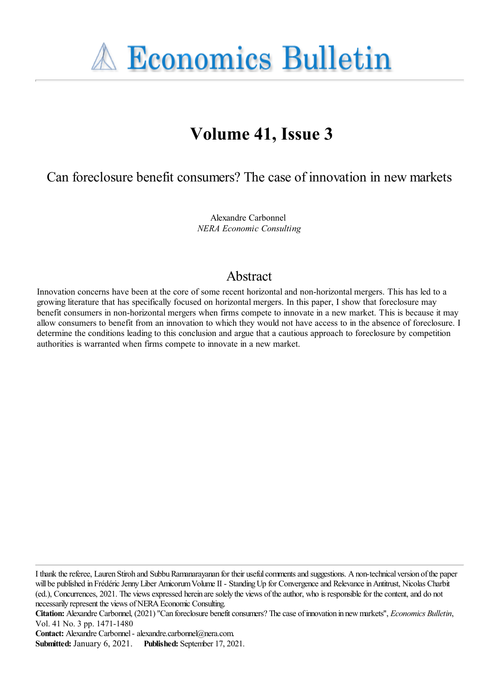**A Economics Bulletin** 

# **Volume 41, Issue 3**

Can foreclosure benefit consumers? The case of innovation in new markets

Alexandre Carbonnel *NERA Economic Consulting*

# Abstract

Innovation concerns have been at the core of some recent horizontal and non-horizontal mergers. This has led to a growing literature that has specifically focused on horizontal mergers. In this paper, I show that foreclosure may benefit consumers in non-horizontal mergers when firms compete to innovate in a new market. This is because it may allow consumers to benefit from an innovation to which they would not have access to in the absence of foreclosure. I determine the conditions leading to this conclusion and argue that a cautious approach to foreclosure by competition authorities is warranted when firms compete to innovate in a new market.

I thank thereferee, Lauren Stiroh and SubbuRamanarayanan for their usefulcommentsand suggestions. Anon-technical version ofthe paper will be published in Frédéric Jenny Liber Amicorum Volume II - Standing Up for Convergence and Relevance in Antitrust, Nicolas Charbit (ed.), Concurrences, 2021. The viewsexpressed herein aresolely the views oftheauthor, who is responsiblefor thecontent,and do not necessarily represent the views of NERA Economic Consulting.

**Citation:** Alexandre Carbonnel, (2021) "Can foreclosure benefit consumers? The case of innovation in new markets", *Economics Bulletin*, Vol. 41 No. 3 pp. 1471-1480

**Contact:** Alexandre Carbonnel- alexandre.carbonnel@nera.com.

**Submitted:** January 6, 2021. **Published:** September 17, 2021.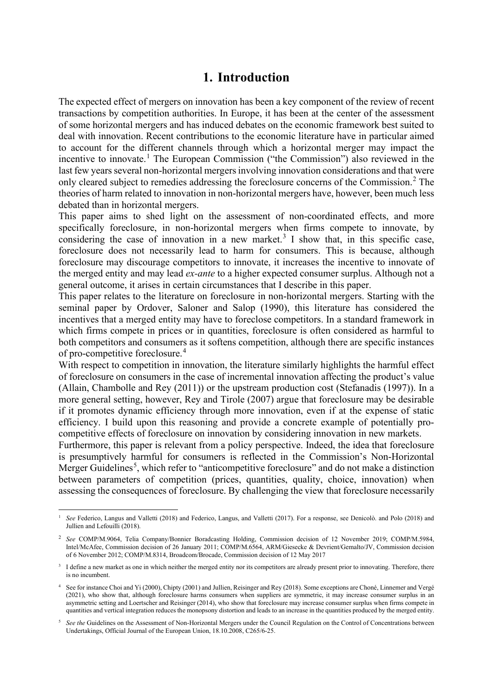# **1. Introduction**

The expected effect of mergers on innovation has been a key component of the review of recent transactions by competition authorities. In Europe, it has been at the center of the assessment of some horizontal mergers and has induced debates on the economic framework best suited to deal with innovation. Recent contributions to the economic literature have in particular aimed to account for the different channels through which a horizontal merger may impact the incentive to innovate.<sup>[1](#page-1-0)</sup> The European Commission ("the Commission") also reviewed in the last few years several non-horizontal mergers involving innovation considerations and that were only cleared subject to remedies addressing the foreclosure concerns of the Commission. [2](#page-1-1) The theories of harm related to innovation in non-horizontal mergers have, however, been much less debated than in horizontal mergers.

This paper aims to shed light on the assessment of non-coordinated effects, and more specifically foreclosure, in non-horizontal mergers when firms compete to innovate, by considering the case of innovation in a new market.<sup>[3](#page-1-2)</sup> I show that, in this specific case, foreclosure does not necessarily lead to harm for consumers. This is because, although foreclosure may discourage competitors to innovate, it increases the incentive to innovate of the merged entity and may lead *ex-ante* to a higher expected consumer surplus. Although not a general outcome, it arises in certain circumstances that I describe in this paper.

This paper relates to the literature on foreclosure in non-horizontal mergers. Starting with the seminal paper by Ordover, Saloner and Salop (1990), this literature has considered the incentives that a merged entity may have to foreclose competitors. In a standard framework in which firms compete in prices or in quantities, foreclosure is often considered as harmful to both competitors and consumers as it softens competition, although there are specific instances of pro-competitive foreclosure. [4](#page-1-3)

With respect to competition in innovation, the literature similarly highlights the harmful effect of foreclosure on consumers in the case of incremental innovation affecting the product's value (Allain, Chambolle and Rey (2011)) or the upstream production cost (Stefanadis (1997)). In a more general setting, however, Rey and Tirole (2007) argue that foreclosure may be desirable if it promotes dynamic efficiency through more innovation, even if at the expense of static efficiency. I build upon this reasoning and provide a concrete example of potentially procompetitive effects of foreclosure on innovation by considering innovation in new markets.

Furthermore, this paper is relevant from a policy perspective. Indeed, the idea that foreclosure is presumptively harmful for consumers is reflected in the Commission's Non-Horizontal Merger Guidelines<sup>[5](#page-1-4)</sup>, which refer to "anticompetitive foreclosure" and do not make a distinction between parameters of competition (prices, quantities, quality, choice, innovation) when assessing the consequences of foreclosure. By challenging the view that foreclosure necessarily

<span id="page-1-0"></span><sup>&</sup>lt;sup>1</sup> See Federico, Langus and Valletti (2018) and Federico, Langus, and Valletti (2017). For a response, see Denicolò. and Polo (2018) and Jullien and Lefouilli (2018).

<span id="page-1-1"></span><sup>2</sup> *See* COMP/M.9064, Telia Company/Bonnier Boradcasting Holding, Commission decision of 12 November 2019; COMP/M.5984, Intel/McAfee, Commission decision of 26 January 2011; COMP/M.6564, ARM/Giesecke & Devrient/Gemalto/JV, Commission decision of 6 November 2012; COMP/M.8314, Broadcom/Brocade, Commission decision of 12 May 2017

<span id="page-1-2"></span><sup>&</sup>lt;sup>3</sup> I define a new market as one in which neither the merged entity nor its competitors are already present prior to innovating. Therefore, there is no incumbent.

<span id="page-1-3"></span><sup>4</sup> See for instance Choi and Yi (2000), Chipty (2001) and Jullien, Reisinger and Rey (2018). Some exceptions are Choné, Linnemer and Vergé (2021), who show that, although foreclosure harms consumers when suppliers are symmetric, it may increase consumer surplus in an asymmetric setting and Loertscher and Reisinger (2014), who show that foreclosure may increase consumer surplus when firms compete in quantities and vertical integration reduces the monopsony distortion and leads to an increase in the quantities produced by the merged entity.

<span id="page-1-4"></span><sup>5</sup> *See the* Guidelines on the Assessment of Non-Horizontal Mergers under the Council Regulation on the Control of Concentrations between Undertakings, Official Journal of the European Union, 18.10.2008, C265/6-25.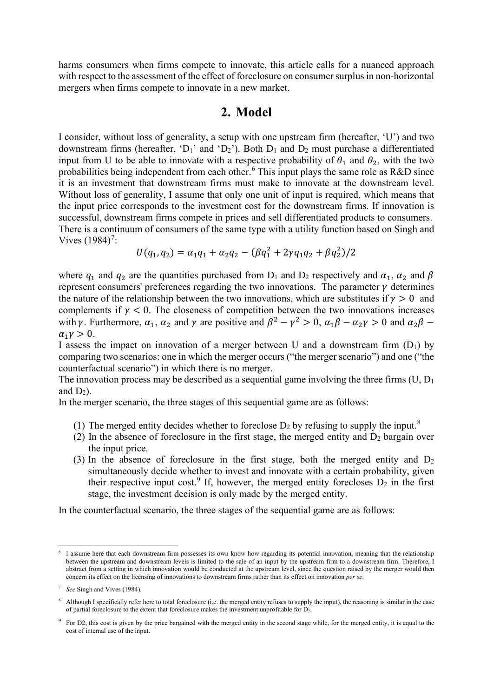harms consumers when firms compete to innovate, this article calls for a nuanced approach with respect to the assessment of the effect of foreclosure on consumer surplus in non-horizontal mergers when firms compete to innovate in a new market.

#### **2. Model**

I consider, without loss of generality, a setup with one upstream firm (hereafter, 'U') and two downstream firms (hereafter, 'D<sub>1</sub>' and 'D<sub>2</sub>'). Both D<sub>1</sub> and D<sub>2</sub> must purchase a differentiated input from U to be able to innovate with a respective probability of  $\theta_1$  and  $\theta_2$ , with the two probabilities being independent from each other.<sup>[6](#page-2-0)</sup> This input plays the same role as R&D since it is an investment that downstream firms must make to innovate at the downstream level. Without loss of generality, I assume that only one unit of input is required, which means that the input price corresponds to the investment cost for the downstream firms. If innovation is successful, downstream firms compete in prices and sell differentiated products to consumers. There is a continuum of consumers of the same type with a utility function based on Singh and Vives  $(1984)^7$  $(1984)^7$ :

$$
U(q_1, q_2) = \alpha_1 q_1 + \alpha_2 q_2 - (\beta q_1^2 + 2\gamma q_1 q_2 + \beta q_2^2)/2
$$

where  $q_1$  and  $q_2$  are the quantities purchased from  $D_1$  and  $D_2$  respectively and  $\alpha_1$ ,  $\alpha_2$  and  $\beta$ represent consumers' preferences regarding the two innovations. The parameter  $\gamma$  determines the nature of the relationship between the two innovations, which are substitutes if  $\gamma > 0$  and complements if  $y < 0$ . The closeness of competition between the two innovations increases with  $\gamma$ . Furthermore,  $\alpha_1$ ,  $\alpha_2$  and  $\gamma$  are positive and  $\beta^2 - \gamma^2 > 0$ ,  $\alpha_1 \beta - \alpha_2 \gamma > 0$  and  $\alpha_2 \beta - \beta$  $\alpha_1 \nu > 0$ .

I assess the impact on innovation of a merger between U and a downstream firm  $(D_1)$  by comparing two scenarios: one in which the merger occurs ("the merger scenario") and one ("the counterfactual scenario") in which there is no merger.

The innovation process may be described as a sequential game involving the three firms  $(U, D_1)$ and  $D_2$ ).

In the merger scenario, the three stages of this sequential game are as follows:

- (1) The merged entity decides whether to foreclose  $D_2$  by refusing to supply the input.<sup>[8](#page-2-2)</sup>
- (2) In the absence of foreclosure in the first stage, the merged entity and  $D_2$  bargain over the input price.
- (3) In the absence of foreclosure in the first stage, both the merged entity and  $D_2$ simultaneously decide whether to invest and innovate with a certain probability, given their respective input cost.<sup>[9](#page-2-3)</sup> If, however, the merged entity forecloses  $D_2$  in the first stage, the investment decision is only made by the merged entity.

In the counterfactual scenario, the three stages of the sequential game are as follows:

<span id="page-2-0"></span><sup>6</sup> I assume here that each downstream firm possesses its own know how regarding its potential innovation, meaning that the relationship between the upstream and downstream levels is limited to the sale of an input by the upstream firm to a downstream firm. Therefore, I abstract from a setting in which innovation would be conducted at the upstream level, since the question raised by the merger would then concern its effect on the licensing of innovations to downstream firms rather than its effect on innovation *per se*.

<span id="page-2-1"></span><sup>7</sup> *See* Singh and Vives (1984).

<span id="page-2-2"></span><sup>8</sup> Although I specifically refer here to total foreclosure (i.e. the merged entity refuses to supply the input), the reasoning is similar in the case of partial foreclosure to the extent that foreclosure makes the investment unprofitable for D2.

<span id="page-2-3"></span><sup>&</sup>lt;sup>9</sup> For D2, this cost is given by the price bargained with the merged entity in the second stage while, for the merged entity, it is equal to the cost of internal use of the input.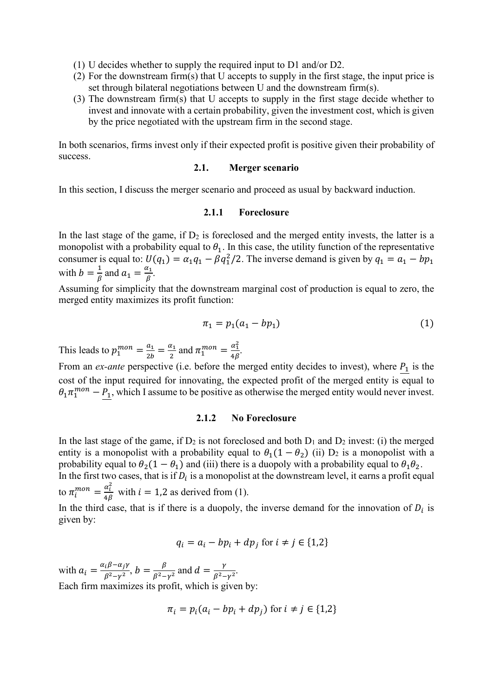- (1) U decides whether to supply the required input to D1 and/or D2.
- (2) For the downstream firm(s) that U accepts to supply in the first stage, the input price is set through bilateral negotiations between U and the downstream firm(s).
- (3) The downstream firm(s) that U accepts to supply in the first stage decide whether to invest and innovate with a certain probability, given the investment cost, which is given by the price negotiated with the upstream firm in the second stage.

In both scenarios, firms invest only if their expected profit is positive given their probability of success.

#### **2.1. Merger scenario**

In this section, I discuss the merger scenario and proceed as usual by backward induction.

#### **2.1.1 Foreclosure**

In the last stage of the game, if  $D_2$  is foreclosed and the merged entity invests, the latter is a monopolist with a probability equal to  $\theta_1$ . In this case, the utility function of the representative consumer is equal to:  $U(q_1) = \alpha_1 q_1 - \beta q_1^2/2$ . The inverse demand is given by  $q_1 = a_1 - bp_1$ with  $b = \frac{1}{\beta}$  $\frac{1}{\beta}$  and  $a_1 = \frac{a_1}{\beta}$  $\frac{i_1}{\beta}$ .

Assuming for simplicity that the downstream marginal cost of production is equal to zero, the merged entity maximizes its profit function:

$$
\pi_1 = p_1(a_1 - bp_1) \tag{1}
$$

This leads to  $p_1^{mon} = \frac{a_1}{2b}$  $\frac{a_1}{2b} = \frac{a_1}{2}$  $rac{\alpha_1}{2}$  and  $\pi_1^{mon} = \frac{\alpha_1^2}{4\beta}$ .

From an *ex-ante* perspective (i.e. before the merged entity decides to invest), where  $P_1$  is the cost of the input required for innovating, the expected profit of the merged entity is equal to  $\theta_1 \pi_1^{mon} - \underline{P_1}$ , which I assume to be positive as otherwise the merged entity would never invest.

#### **2.1.2 No Foreclosure**

In the last stage of the game, if  $D_2$  is not foreclosed and both  $D_1$  and  $D_2$  invest: (i) the merged entity is a monopolist with a probability equal to  $\theta_1(1 - \theta_2)$  (ii) D<sub>2</sub> is a monopolist with a probability equal to  $\theta_2(1 - \theta_1)$  and (iii) there is a duopoly with a probability equal to  $\theta_1 \theta_2$ .

In the first two cases, that is if  $D_i$  is a monopolist at the downstream level, it earns a profit equal to  $\pi_i^{mon} = \frac{\alpha_i^2}{4\beta}$  with  $i = 1,2$  as derived from (1).

In the third case, that is if there is a duopoly, the inverse demand for the innovation of  $D_i$  is given by:

$$
q_i = a_i - bp_i + dp_j \text{ for } i \neq j \in \{1,2\}
$$

with  $a_i = \frac{\alpha_i \beta - \alpha_j \gamma}{\beta^2 - \gamma^2}$  $\frac{\beta^{2}-\alpha_{j}\gamma}{\beta^{2}-\gamma^{2}}, b=\frac{\beta}{\beta^{2}-\gamma^{2}}$  $\frac{\beta}{\beta^2 - \gamma^2}$  and  $d = \frac{\gamma}{\beta^2 - \gamma^2}$  $\frac{r}{\beta^2 - \gamma^2}$ . Each firm maximizes its profit, which is given by:

$$
\pi_i = p_i(a_i - bp_i + dp_j) \text{ for } i \neq j \in \{1,2\}
$$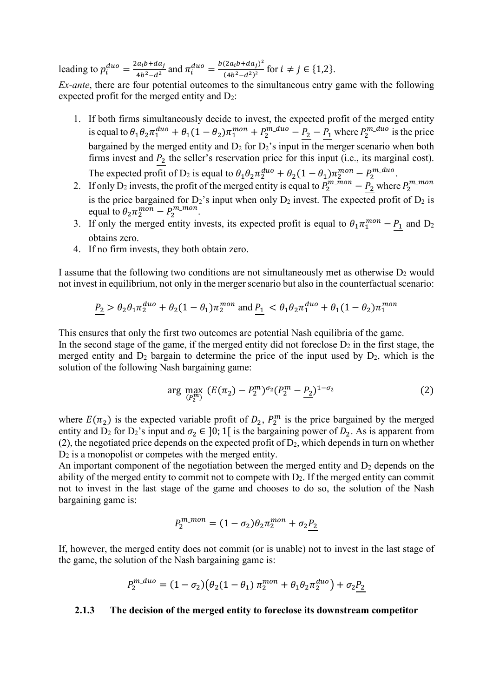leading to  $p_i^{duo} = \frac{2a_ib + da_j}{4b^2 - d^2}$  $\frac{(a_i b + da_j)}{4b^2 - d^2}$  and  $\pi_i^{duo} = \frac{b(2a_i b + da_j)^2}{(4b^2 - d^2)^2}$  $\frac{(2a_1b + aa_1)}{(4b^2 - d^2)^2}$  for  $i \neq j \in \{1,2\}.$ 

*Ex-ante*, there are four potential outcomes to the simultaneous entry game with the following expected profit for the merged entity and  $D_2$ :

- 1. If both firms simultaneously decide to invest, the expected profit of the merged entity is equal to  $\theta_1 \theta_2 \pi_1^{duo} + \theta_1(1-\theta_2)\pi_1^{mon} + P_2^{m_duo} - \frac{P_2}{n_d} - \frac{P_1}{n_d}$  where  $P_2^{m_duo}$  is the price bargained by the merged entity and  $D_2$  for  $D_2$ 's input in the merger scenario when both firms invest and  $P_2$  the seller's reservation price for this input (i.e., its marginal cost). The expected profit of D<sub>2</sub> is equal to  $\theta_1 \theta_2 \pi_2^{duo} + \theta_2 (1 - \theta_1) \pi_2^{mon} - P_2^{m\_duo}$ .
- 2. If only D<sub>2</sub> invests, the profit of the merged entity is equal to  $P_2^{m\_mon} \underline{P_2}$  where  $P_2^{m\_mon}$ is the price bargained for  $D_2$ 's input when only  $D_2$  invest. The expected profit of  $D_2$  is equal to  $\theta_2 \pi_2^{mon} - P_2^{m\_mon}$ .
- 3. If only the merged entity invests, its expected profit is equal to  $\theta_1 \pi_1^{mon} P_1$  and  $D_2$ obtains zero.
- 4. If no firm invests, they both obtain zero.

I assume that the following two conditions are not simultaneously met as otherwise  $D_2$  would not invest in equilibrium, not only in the merger scenario but also in the counterfactual scenario:

$$
\underline{P_2} > \theta_2 \theta_1 \pi_2^{duo} + \theta_2 (1 - \theta_1) \pi_2^{mon} \text{ and } \underline{P_1} < \theta_1 \theta_2 \pi_1^{duo} + \theta_1 (1 - \theta_2) \pi_1^{mon}
$$

This ensures that only the first two outcomes are potential Nash equilibria of the game.

In the second stage of the game, if the merged entity did not foreclose  $D_2$  in the first stage, the merged entity and  $D_2$  bargain to determine the price of the input used by  $D_2$ , which is the solution of the following Nash bargaining game:

$$
\arg\max_{(P_2^m)} (E(\pi_2) - P_2^m)^{\sigma_2} (P_2^m - P_2)^{1-\sigma_2} \tag{2}
$$

where  $E(\pi_2)$  is the expected variable profit of  $D_2$ ,  $P_2^m$  is the price bargained by the merged entity and D<sub>2</sub> for D<sub>2</sub>'s input and  $\sigma_2 \in [0; 1]$  is the bargaining power of D<sub>2</sub>. As is apparent from (2), the negotiated price depends on the expected profit of  $D_2$ , which depends in turn on whether D2 is a monopolist or competes with the merged entity.

An important component of the negotiation between the merged entity and  $D_2$  depends on the ability of the merged entity to commit not to compete with  $D_2$ . If the merged entity can commit not to invest in the last stage of the game and chooses to do so, the solution of the Nash bargaining game is:

$$
P_2^{m\_mon} = (1 - \sigma_2)\theta_2 \pi_2^{mon} + \sigma_2 \underline{P_2}
$$

If, however, the merged entity does not commit (or is unable) not to invest in the last stage of the game, the solution of the Nash bargaining game is:

$$
P_2^{m\_duo} = (1 - \sigma_2)(\theta_2(1 - \theta_1) \pi_2^{mon} + \theta_1 \theta_2 \pi_2^{duo}) + \sigma_2 \underline{P_2}
$$

#### **2.1.3 The decision of the merged entity to foreclose its downstream competitor**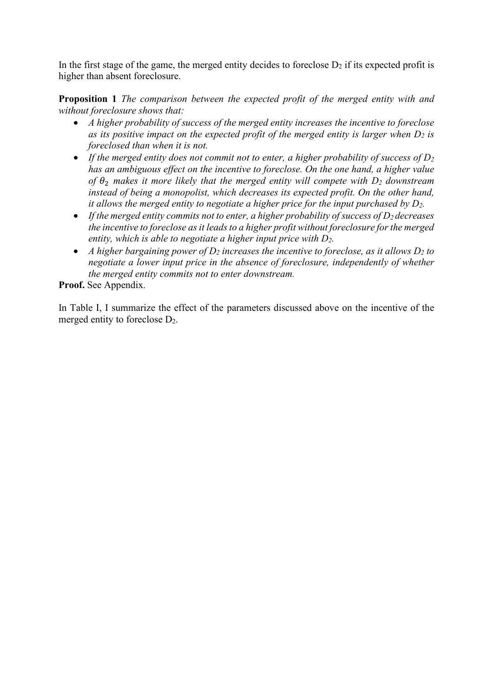In the first stage of the game, the merged entity decides to foreclose  $D_2$  if its expected profit is higher than absent foreclosure.

**Proposition 1** *The comparison between the expected profit of the merged entity with and without foreclosure shows that:* 

- *A higher probability of success of the merged entity increases the incentive to foreclose as its positive impact on the expected profit of the merged entity is larger when D<sup>2</sup> is foreclosed than when it is not.*
- *If the merged entity does not commit not to enter, a higher probability of success of D<sup>2</sup> has an ambiguous effect on the incentive to foreclose. On the one hand, a higher value of*  $\theta$ <sub>2</sub> *makes it more likely that the merged entity will compete with*  $D_2$  *downstream instead of being a monopolist, which decreases its expected profit. On the other hand, it allows the merged entity to negotiate a higher price for the input purchased by D2.*
- *If the merged entity commits not to enter, a higher probability of success of D2 decreases the incentive to foreclose as it leads to a higher profit without foreclosure for the merged entity, which is able to negotiate a higher input price with D2.*
- *A higher bargaining power of D<sup>2</sup> increases the incentive to foreclose, as it allows D<sup>2</sup> to negotiate a lower input price in the absence of foreclosure, independently of whether the merged entity commits not to enter downstream.*

**Proof.** See Appendix.

In Table I, I summarize the effect of the parameters discussed above on the incentive of the merged entity to foreclose  $D_2$ .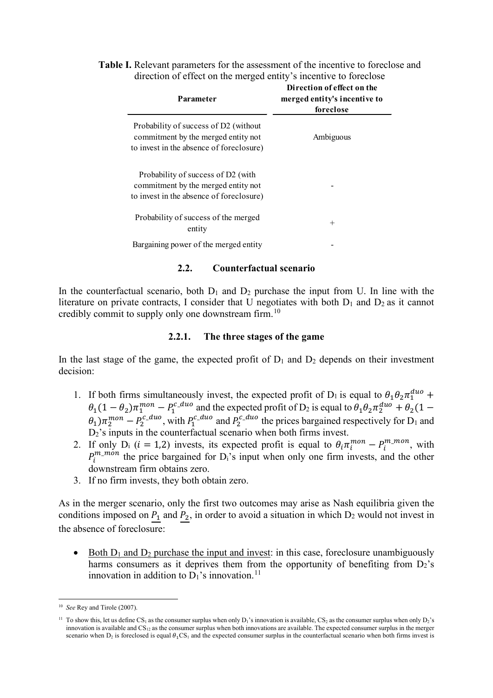#### **Table I.** Relevant parameters for the assessment of the incentive to foreclose and direction of effect on the merged entity's incentive to foreclose

| Parameter                                                                                                                | Direction of effect on the<br>merged entity's incentive to<br>foreclose |
|--------------------------------------------------------------------------------------------------------------------------|-------------------------------------------------------------------------|
| Probability of success of D2 (without<br>commitment by the merged entity not<br>to invest in the absence of foreclosure) | Ambiguous                                                               |
| Probability of success of D2 (with<br>commitment by the merged entity not<br>to invest in the absence of foreclosure)    |                                                                         |
| Probability of success of the merged<br>entity                                                                           | $^{+}$                                                                  |
| Bargaining power of the merged entity                                                                                    |                                                                         |

#### **2.2. Counterfactual scenario**

In the counterfactual scenario, both  $D_1$  and  $D_2$  purchase the input from U. In line with the literature on private contracts, I consider that U negotiates with both  $D_1$  and  $D_2$  as it cannot credibly commit to supply only one downstream firm.<sup>[10](#page-6-0)</sup>

#### **2.2.1. The three stages of the game**

In the last stage of the game, the expected profit of  $D_1$  and  $D_2$  depends on their investment decision:

- 1. If both firms simultaneously invest, the expected profit of D<sub>1</sub> is equal to  $\theta_1 \theta_2 \pi_1^{duo}$  +  $\theta_1(1-\theta_2)\pi_1^{mon}-P_1^{c\_duo}$  and the expected profit of D<sub>2</sub> is equal to  $\theta_1\theta_2\pi_2^{duo}+\theta_2(1-\theta_1)$  $\theta_1$ ) $\pi_2^{mon}$  –  $P_2^{c\_duo}$ , with  $P_1^{c\_duo}$  and  $P_2^{c\_duo}$  the prices bargained respectively for D<sub>1</sub> and  $D_2$ 's inputs in the counterfactual scenario when both firms invest.
- 2. If only  $D_i$  ( $i = 1,2$ ) invests, its expected profit is equal to  $\theta_i \pi_i^{mon} P_i^{m\_mon}$ , with  $P_i^{m\_mon}$  the price bargained for D<sub>i</sub>'s input when only one firm invests, and the other downstream firm obtains zero.
- 3. If no firm invests, they both obtain zero.

As in the merger scenario, only the first two outcomes may arise as Nash equilibria given the conditions imposed on  $P_1$  and  $P_2$ , in order to avoid a situation in which  $D_2$  would not invest in the absence of foreclosure:

• Both  $D_1$  and  $D_2$  purchase the input and invest: in this case, foreclosure unambiguously harms consumers as it deprives them from the opportunity of benefiting from  $D_2$ 's innovation in addition to  $D_1$ 's innovation.<sup>[11](#page-6-1)</sup>

<span id="page-6-0"></span><sup>10</sup> *See* Rey and Tirole (2007).

<span id="page-6-1"></span><sup>&</sup>lt;sup>11</sup> To show this, let us define CS<sub>1</sub> as the consumer surplus when only  $D_1$ 's innovation is available, CS<sub>2</sub> as the consumer surplus when only  $D_2$ 's innovation is available and  $CS_{12}$  as the consumer surplus when both innovations are available. The expected consumer surplus in the merger scenario when  $D_2$  is foreclosed is equal  $\theta_1 CS_1$  and the expected consumer surplus in the counterfactual scenario when both firms invest is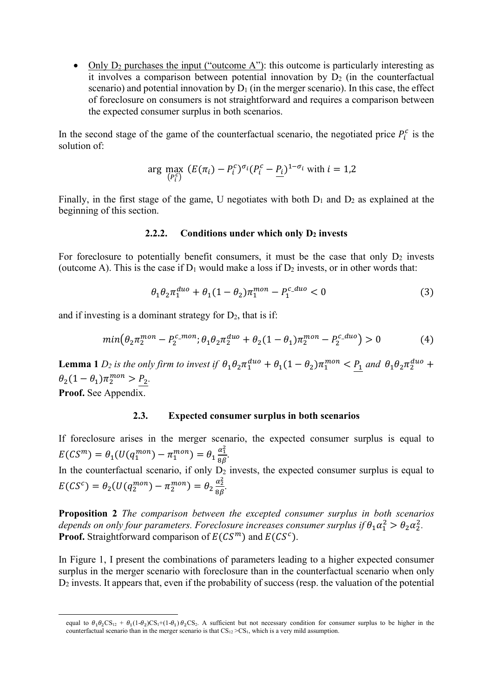• Only  $D_2$  purchases the input ("outcome A"): this outcome is particularly interesting as it involves a comparison between potential innovation by  $D_2$  (in the counterfactual scenario) and potential innovation by  $D_1$  (in the merger scenario). In this case, the effect of foreclosure on consumers is not straightforward and requires a comparison between the expected consumer surplus in both scenarios.

In the second stage of the game of the counterfactual scenario, the negotiated price  $P_i^c$  is the solution of:

$$
\arg\max_{\left(P_i^c\right)}\left(E(\pi_i)-P_i^c\right)^{\sigma_i}\left(P_i^c-P_i\right)^{1-\sigma_i}\text{ with }i=1,2
$$

Finally, in the first stage of the game, U negotiates with both  $D_1$  and  $D_2$  as explained at the beginning of this section.

#### **2.2.2. Conditions under which only D<sup>2</sup> invests**

For foreclosure to potentially benefit consumers, it must be the case that only  $D_2$  invests (outcome A). This is the case if  $D_1$  would make a loss if  $D_2$  invests, or in other words that:

$$
\theta_1 \theta_2 \pi_1^{duo} + \theta_1 (1 - \theta_2) \pi_1^{mon} - P_1^{c\_duo} < 0 \tag{3}
$$

and if investing is a dominant strategy for  $D_2$ , that is if:

$$
min(\theta_2 \pi_2^{mon} - P_2^{c\_mon}; \theta_1 \theta_2 \pi_2^{duo} + \theta_2 (1 - \theta_1) \pi_2^{mon} - P_2^{c\_duo}) > 0
$$
 (4)

**Lemma 1**  $D_2$  is the only firm to invest if  $\theta_1\theta_2\pi_1^{duo} + \theta_1(1-\theta_2)\pi_1^{mon} < \underline{P_1}$  and  $\theta_1\theta_2\pi_2^{duo}$  +  $\theta_2(1-\theta_1)\pi_2^{mon} > P_2.$ **Proof.** See Appendix.

#### **2.3. Expected consumer surplus in both scenarios**

If foreclosure arises in the merger scenario, the expected consumer surplus is equal to  $E(CS^{m}) = \theta_1(U(q_1^{mon}) - \pi_1^{mon}) = \theta_1 \frac{\alpha_1^2}{8\beta}.$ In the counterfactual scenario, if only  $D_2$  invests, the expected consumer surplus is equal to  $E(CS^{c}) = \theta_2(U(q_2^{mon}) - \pi_2^{mon}) = \theta_2 \frac{\alpha_2^2}{8\beta}.$ 

**Proposition 2** *The comparison between the excepted consumer surplus in both scenarios*  depends on only four parameters. Foreclosure increases consumer surplus if  $\theta_1 \alpha_1^2 > \theta_2 \alpha_2^2$ . **Proof.** Straightforward comparison of  $E(CS^m)$  and  $E(CS^c)$ .

In Figure 1, I present the combinations of parameters leading to a higher expected consumer surplus in the merger scenario with foreclosure than in the counterfactual scenario when only  $D_2$  invests. It appears that, even if the probability of success (resp. the valuation of the potential

equal to  $\theta_1\theta_2CS_{12} + \theta_1(1-\theta_2)CS_1+(1-\theta_1)\theta_2CS_2$ . A sufficient but not necessary condition for consumer surplus to be higher in the counterfactual scenario than in the merger scenario is that  $CS_{12} > CS_1$ , which is a very mild assumption.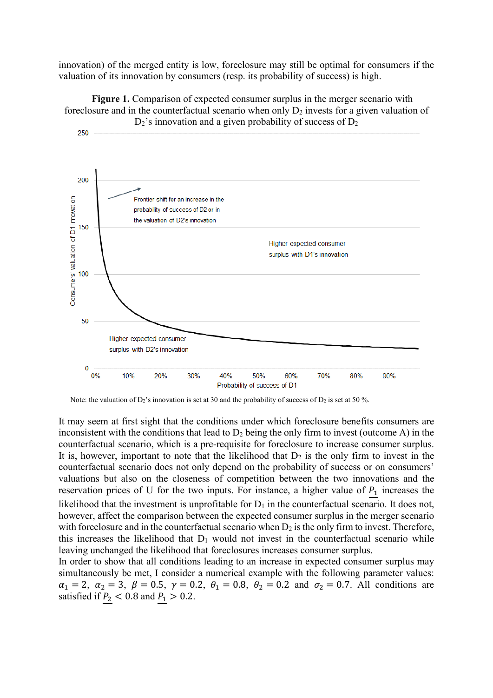innovation) of the merged entity is low, foreclosure may still be optimal for consumers if the valuation of its innovation by consumers (resp. its probability of success) is high.





Note: the valuation of  $D_2$ 's innovation is set at 30 and the probability of success of  $D_2$  is set at 50 %.

It may seem at first sight that the conditions under which foreclosure benefits consumers are inconsistent with the conditions that lead to  $D_2$  being the only firm to invest (outcome A) in the counterfactual scenario, which is a pre-requisite for foreclosure to increase consumer surplus. It is, however, important to note that the likelihood that  $D_2$  is the only firm to invest in the counterfactual scenario does not only depend on the probability of success or on consumers' valuations but also on the closeness of competition between the two innovations and the reservation prices of U for the two inputs. For instance, a higher value of  $P_1$  increases the likelihood that the investment is unprofitable for  $D_1$  in the counterfactual scenario. It does not, however, affect the comparison between the expected consumer surplus in the merger scenario with foreclosure and in the counterfactual scenario when  $D_2$  is the only firm to invest. Therefore, this increases the likelihood that  $D_1$  would not invest in the counterfactual scenario while leaving unchanged the likelihood that foreclosures increases consumer surplus.

In order to show that all conditions leading to an increase in expected consumer surplus may simultaneously be met, I consider a numerical example with the following parameter values:  $\alpha_1 = 2, \ \alpha_2 = 3, \ \beta = 0.5, \ \gamma = 0.2, \ \theta_1 = 0.8, \ \theta_2 = 0.2 \text{ and } \sigma_2 = 0.7. \text{ All conditions are}$ satisfied if  $P_2 < 0.8$  and  $P_1 > 0.2$ .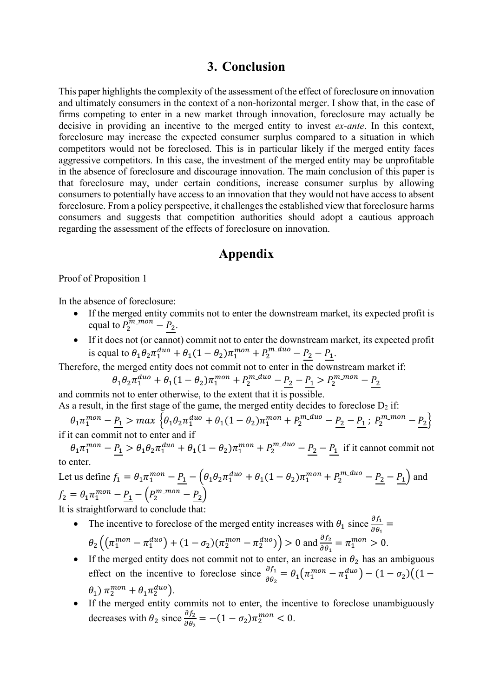### **3. Conclusion**

This paper highlights the complexity of the assessment of the effect of foreclosure on innovation and ultimately consumers in the context of a non-horizontal merger. I show that, in the case of firms competing to enter in a new market through innovation, foreclosure may actually be decisive in providing an incentive to the merged entity to invest *ex-ante*. In this context, foreclosure may increase the expected consumer surplus compared to a situation in which competitors would not be foreclosed. This is in particular likely if the merged entity faces aggressive competitors. In this case, the investment of the merged entity may be unprofitable in the absence of foreclosure and discourage innovation. The main conclusion of this paper is that foreclosure may, under certain conditions, increase consumer surplus by allowing consumers to potentially have access to an innovation that they would not have access to absent foreclosure. From a policy perspective, it challenges the established view that foreclosure harms consumers and suggests that competition authorities should adopt a cautious approach regarding the assessment of the effects of foreclosure on innovation.

# **Appendix**

#### Proof of Proposition 1

In the absence of foreclosure:

- If the merged entity commits not to enter the downstream market, its expected profit is equal to  $P_2^{m\_mon} - P_2$ .
- If it does not (or cannot) commit not to enter the downstream market, its expected profit is equal to  $\theta_1 \theta_2 \pi_1^{duo} + \theta_1 (1 - \theta_2) \pi_1^{mon} + P_2^{m\_duo} - P_2 - P_1$ .

Therefore, the merged entity does not commit not to enter in the downstream market if:

$$
\theta_1 \theta_2 \pi_1^{duo} + \theta_1 (1 - \theta_2) \pi_1^{mon} + P_2^{m_duo} - P_2 - P_1 > P_2^{m_mon} - P_2
$$

and commits not to enter otherwise, to the extent that it is possible. As a result, in the first stage of the game, the merged entity decides to foreclose  $D_2$  if:

 $\theta_1 \pi_1^{mon} - \underline{P_1} > max \left\{ \theta_1 \theta_2 \pi_1^{duo} + \theta_1 (1-\theta_2) \pi_1^{mon} + P_2^{m\_duo} - \underline{P_2} - \underline{P_1} ; P_2^{m\_mon} - \underline{P_2} \right\}$ if it can commit not to enter and if

 $\theta_1 \pi_1^{mon} - \underline{P_1} > \theta_1 \theta_2 \pi_1^{duo} + \theta_1 (1 - \theta_2) \pi_1^{mon} + P_2^{m_duo} - \underline{P_2} - \underline{P_1}$  if it cannot commit not to enter.

Let us define  $f_1 = \theta_1 \pi_1^{mon} - \underline{P_1} - (\theta_1 \theta_2 \pi_1^{duo} + \theta_1 (1 - \theta_2) \pi_1^{mon} + P_2^{m_d uo} - \underline{P_2} - \underline{P_1})$  and

 $f_2 = \theta_1 \pi_1^{mon} - \underline{P_1} - \left( P_2^{m\_mon} - \underline{P_2} \right)$ It is straightforward to conclude that:

- The incentive to foreclose of the merged entity increases with  $\theta_1$  since  $\frac{\partial f_1}{\partial \theta_1}$  =  $\theta_2 \left( \left( \pi_1^{mon} - \pi_1^{duo} \right) + (1 - \sigma_2) (\pi_2^{mon} - \pi_2^{duo}) \right) > 0$  and  $\frac{\partial f_2}{\partial \theta_1} = \pi_1^{mon} > 0$ .  $\partial \theta_1$
- If the merged entity does not commit not to enter, an increase in  $\theta_2$  has an ambiguous effect on the incentive to foreclose since  $\frac{\partial f_1}{\partial \theta_2} = \theta_1 (\pi_1^{mon} - \pi_1^{duo}) - (1 - \sigma_2)((1 - \sigma_1)$  $\theta_1$ )  $\pi_2^{mon} + \theta_1 \pi_2^{duo}$ ).
- If the merged entity commits not to enter, the incentive to foreclose unambiguously decreases with  $\theta_2$  since  $\frac{\partial f_2}{\partial \theta_2} = -(1 - \sigma_2) \pi_2^{mon} < 0$ .